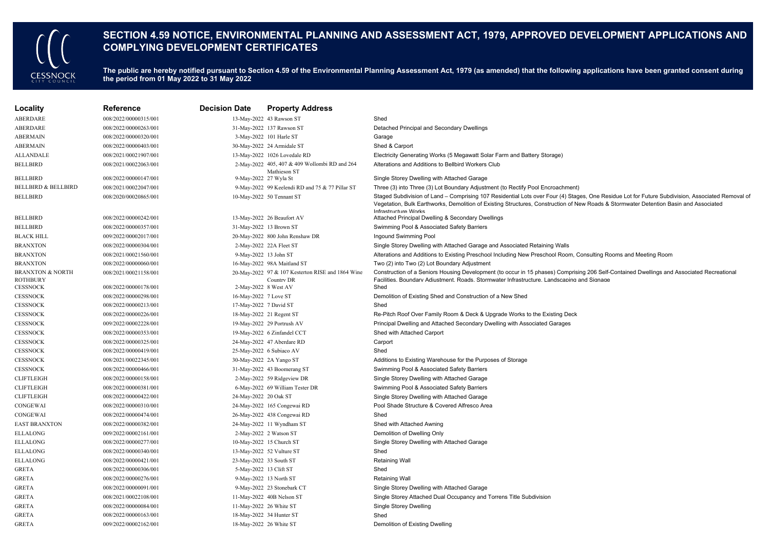

## **SECTION 4.59 NOTICE, ENVIRONMENTAL PLANNING AND ASSESSMENT ACT, 1979, APPROVED DEVELOPMENT APPLICATIONS AND COMPLYING DEVELOPMENT CERTIFICATES**

The public are hereby notified pursuant to Section 4.59 of the Environmental Planning Assessment Act, 1979 (as amended) that the following applications have been granted consent during **the period from 01 May 2022 to 31 May 2022**

| Locality                                       | Reference             | <b>Decision Date</b>   | <b>Property Address</b>                                         |                                                                                                                                                                                                                                                                                                                   |
|------------------------------------------------|-----------------------|------------------------|-----------------------------------------------------------------|-------------------------------------------------------------------------------------------------------------------------------------------------------------------------------------------------------------------------------------------------------------------------------------------------------------------|
| ABERDARE                                       | 008/2022/00000315/001 |                        | 13-May-2022 43 Rawson ST                                        | Shed                                                                                                                                                                                                                                                                                                              |
| ABERDARE                                       | 008/2022/00000263/001 |                        | 31-May-2022 137 Rawson ST                                       | Detached Principal and Secondary Dwellings                                                                                                                                                                                                                                                                        |
| <b>ABERMAIN</b>                                | 008/2022/00000320/001 |                        | 3-May-2022 101 Harle ST                                         | Garage                                                                                                                                                                                                                                                                                                            |
| <b>ABERMAIN</b>                                | 008/2022/00000403/001 |                        | 30-May-2022 24 Armidale ST                                      | Shed & Carport                                                                                                                                                                                                                                                                                                    |
| <b>ALLANDALE</b>                               | 008/2021/00021907/001 |                        | 13-May-2022 1026 Lovedale RD                                    | Electricity Generating Works (5 Megawatt Solar Farm and Battery Storage)                                                                                                                                                                                                                                          |
| <b>BELLBIRD</b>                                | 008/2021/00022063/001 |                        | 2-May-2022 405, 407 & 409 Wollombi RD and 264<br>Mathieson ST   | Alterations and Additions to Bellbird Workers Club                                                                                                                                                                                                                                                                |
| <b>BELLBIRD</b>                                | 008/2022/00000147/001 |                        | 9-May-2022 27 Wyla St                                           | Single Storey Dwelling with Attached Garage                                                                                                                                                                                                                                                                       |
| <b>BELLBIRD &amp; BELLBIRD</b>                 | 008/2021/00022047/001 |                        | 9-May-2022 99 Keelendi RD and 75 & 77 Pillar ST                 | Three (3) into Three (3) Lot Boundary Adjustment (to Rectify Pool Encroachment)                                                                                                                                                                                                                                   |
| <b>BELLBIRD</b>                                | 008/2020/00020865/001 |                        | 10-May-2022 50 Tennant ST                                       | Staged Subdivision of Land - Comprising 107 Residential Lots over Four (4) Stages, One Residue Lot for Future Subdivision, Associated Removal of<br>Vegetation, Bulk Earthworks, Demolition of Existing Structures, Construction of New Roads & Stormwater Detention Basin and Associated<br>Infrastructure Works |
| <b>BELLBIRD</b>                                | 008/2022/00000242/001 |                        | 13-May-2022 26 Beaufort AV                                      | Attached Principal Dwelling & Secondary Dwellings                                                                                                                                                                                                                                                                 |
| <b>BELLBIRD</b>                                | 008/2022/00000357/001 |                        | 31-May-2022 13 Brown ST                                         | Swimming Pool & Associated Safety Barriers                                                                                                                                                                                                                                                                        |
| <b>BLACK HILL</b>                              | 009/2022/00002017/001 |                        | 20-May-2022 800 John Renshaw DR                                 | Ingound Swimming Pool                                                                                                                                                                                                                                                                                             |
| <b>BRANXTON</b>                                | 008/2022/00000304/001 |                        | 2-May-2022 22A Fleet ST                                         | Single Storey Dwelling with Attached Garage and Associated Retaining Walls                                                                                                                                                                                                                                        |
| <b>BRANXTON</b>                                | 008/2021/00021560/001 | 9-May-2022 13 John ST  |                                                                 | Alterations and Additions to Existing Preschool Including New Preschool Room, Consulting Rooms and Meeting Room                                                                                                                                                                                                   |
| <b>BRANXTON</b>                                | 008/2022/00000060/001 |                        | 16-May-2022 98A Maitland ST                                     | Two (2) into Two (2) Lot Boundary Adjustment                                                                                                                                                                                                                                                                      |
| <b>BRANXTON &amp; NORTH</b><br><b>ROTHBURY</b> | 008/2021/00021158/001 |                        | 20-May-2022 97 & 107 Kesterton RISE and 1864 Wine<br>Country DR | Construction of a Seniors Housing Development (to occur in 15 phases) Comprising 206 Self-Contained Dwellings and Associated Recreational<br>Facilities. Boundarv Adiustment. Roads. Stormwater Infrastructure. Landscaping and Signage                                                                           |
| <b>CESSNOCK</b>                                | 008/2022/00000178/001 | 2-May-2022 8 West AV   |                                                                 | Shed                                                                                                                                                                                                                                                                                                              |
| <b>CESSNOCK</b>                                | 008/2022/00000298/001 | 16-May-2022 7 Love ST  |                                                                 | Demolition of Existing Shed and Construction of a New Shed                                                                                                                                                                                                                                                        |
| <b>CESSNOCK</b>                                | 008/2022/00000213/001 | 17-May-2022 7 David ST |                                                                 | Shed                                                                                                                                                                                                                                                                                                              |
| <b>CESSNOCK</b>                                | 008/2022/00000226/001 |                        | 18-May-2022 21 Regent ST                                        | Re-Pitch Roof Over Family Room & Deck & Upgrade Works to the Existing Deck                                                                                                                                                                                                                                        |
| <b>CESSNOCK</b>                                | 009/2022/00002228/001 |                        | 19-May-2022 29 Portrush AV                                      | Principal Dwelling and Attached Secondary Dwelling with Associated Garages                                                                                                                                                                                                                                        |
| <b>CESSNOCK</b>                                | 008/2022/00000353/001 |                        | 19-May-2022 6 Zinfandel CCT                                     | Shed with Attached Carport                                                                                                                                                                                                                                                                                        |
| <b>CESSNOCK</b>                                | 008/2022/00000325/001 |                        | 24-May-2022 47 Aberdare RD                                      | Carport                                                                                                                                                                                                                                                                                                           |
| <b>CESSNOCK</b>                                | 008/2022/00000419/001 |                        | 25-May-2022 6 Subiaco AV                                        | Shed                                                                                                                                                                                                                                                                                                              |
| <b>CESSNOCK</b>                                | 008/2021/00022345/001 |                        | 30-May-2022 2A Yango ST                                         | Additions to Existing Warehouse for the Purposes of Storage                                                                                                                                                                                                                                                       |
| <b>CESSNOCK</b>                                | 008/2022/00000466/001 |                        | 31-May-2022 43 Boomerang ST                                     | Swimming Pool & Associated Safety Barriers                                                                                                                                                                                                                                                                        |
| <b>CLIFTLEIGH</b>                              | 008/2022/00000158/001 |                        | 2-May-2022 59 Ridgeview DR                                      | Single Storey Dwelling with Attached Garage                                                                                                                                                                                                                                                                       |
| <b>CLIFTLEIGH</b>                              | 008/2022/00000381/001 |                        | 6-May-2022 69 William Tester DR                                 | Swimming Pool & Associated Safety Barriers                                                                                                                                                                                                                                                                        |
| <b>CLIFTLEIGH</b>                              | 008/2022/00000422/001 | 24-May-2022 20 Oak ST  |                                                                 | Single Storey Dwelling with Attached Garage                                                                                                                                                                                                                                                                       |
| CONGEWAI                                       | 008/2022/00000310/001 |                        | 24-May-2022 165 Congewai RD                                     | Pool Shade Structure & Covered Alfresco Area                                                                                                                                                                                                                                                                      |
| CONGEWAI                                       | 008/2022/00000474/001 |                        | 26-May-2022 438 Congewai RD                                     | Shed                                                                                                                                                                                                                                                                                                              |
| <b>EAST BRANXTON</b>                           | 008/2022/00000382/001 |                        | 24-May-2022 11 Wyndham ST                                       | Shed with Attached Awning                                                                                                                                                                                                                                                                                         |
| <b>ELLALONG</b>                                | 009/2022/00002161/001 |                        | 2-May-2022 2 Watson ST                                          | Demolition of Dwelling Only                                                                                                                                                                                                                                                                                       |
| ELLALONG                                       | 008/2022/00000277/001 |                        | 10-May-2022 15 Church ST                                        | Single Storey Dwelling with Attached Garage                                                                                                                                                                                                                                                                       |
| <b>ELLALONG</b>                                | 008/2022/00000340/001 |                        | 13-May-2022 52 Vulture ST                                       | Shed                                                                                                                                                                                                                                                                                                              |
| ELLALONG                                       | 008/2022/00000421/001 |                        | 23-May-2022 33 South ST                                         | <b>Retaining Wall</b>                                                                                                                                                                                                                                                                                             |
| <b>GRETA</b>                                   | 008/2022/00000306/001 |                        | 5-May-2022 13 Clift ST                                          | Shed                                                                                                                                                                                                                                                                                                              |
| <b>GRETA</b>                                   | 008/2022/00000276/001 |                        | 9-May-2022 13 North ST                                          | <b>Retaining Wall</b>                                                                                                                                                                                                                                                                                             |
| GRETA                                          | 008/2022/00000091/001 |                        | 9-May-2022 23 Stonebark CT                                      | Single Storey Dwelling with Attached Garage                                                                                                                                                                                                                                                                       |
| <b>GRETA</b>                                   | 008/2021/00022108/001 |                        | 11-May-2022 40B Nelson ST                                       | Single Storey Attached Dual Occupancy and Torrens Title Subdivision                                                                                                                                                                                                                                               |
| <b>GRETA</b>                                   | 008/2022/00000084/001 |                        | 11-May-2022 26 White ST                                         | <b>Single Storey Dwelling</b>                                                                                                                                                                                                                                                                                     |
| <b>GRETA</b>                                   | 008/2022/00000163/001 |                        | 18-May-2022 34 Hunter ST                                        | Shed                                                                                                                                                                                                                                                                                                              |
| <b>GRETA</b>                                   | 009/2022/00002162/001 |                        | 18-May-2022 26 White ST                                         | Demolition of Existing Dwelling                                                                                                                                                                                                                                                                                   |
|                                                |                       |                        |                                                                 |                                                                                                                                                                                                                                                                                                                   |